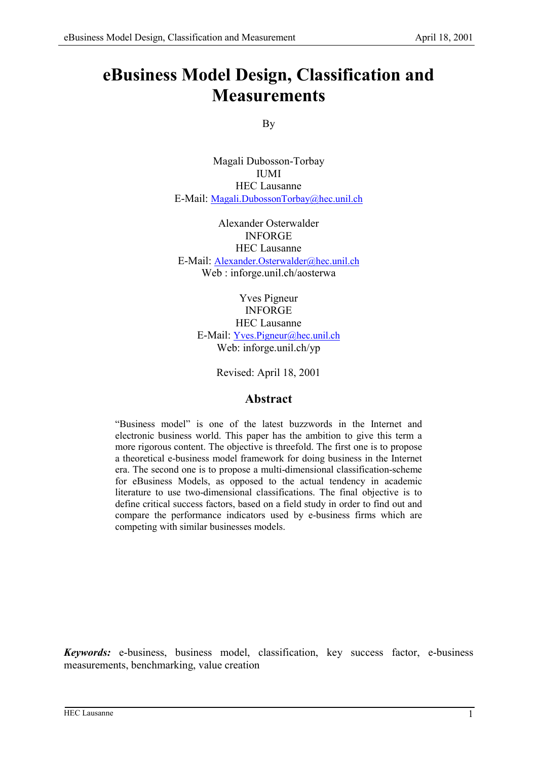# **eBusiness Model Design, Classification and Measurements**

By

Magali Dubosson-Torbay IUMI HEC Lausanne E-Mail: Magali.DubossonTorbay@hec.unil.ch

Alexander Osterwalder INFORGE HEC Lausanne E-Mail: Alexander.Osterwalder@hec.unil.ch Web : inforge.unil.ch/aosterwa

> Yves Pigneur INFORGE HEC Lausanne E-Mail: Yves.Pigneur@hec.unil.ch Web: inforge.unil.ch/yp

> > Revised: April 18, 2001

# **Abstract**

"Business model" is one of the latest buzzwords in the Internet and electronic business world. This paper has the ambition to give this term a more rigorous content. The objective is threefold. The first one is to propose a theoretical e-business model framework for doing business in the Internet era. The second one is to propose a multi-dimensional classification-scheme for eBusiness Models, as opposed to the actual tendency in academic literature to use two-dimensional classifications. The final objective is to define critical success factors, based on a field study in order to find out and compare the performance indicators used by e-business firms which are competing with similar businesses models.

*Keywords:* e-business, business model, classification, key success factor, e-business measurements, benchmarking, value creation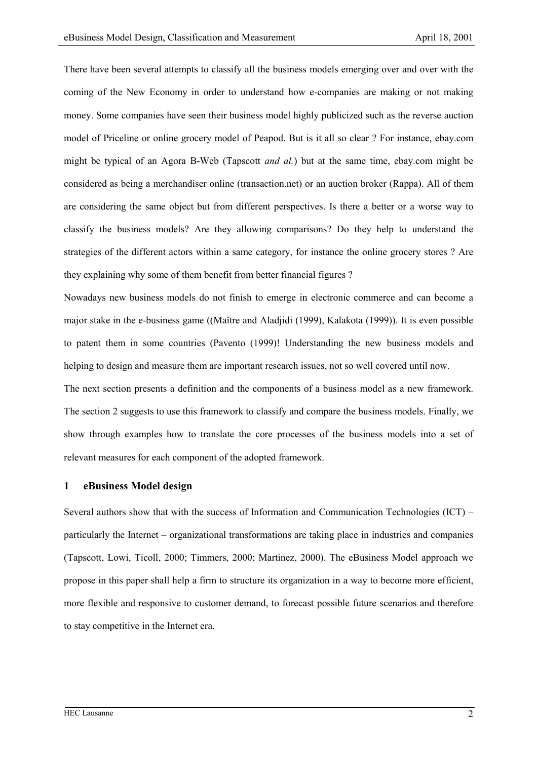There have been several attempts to classify all the business models emerging over and over with the coming of the New Economy in order to understand how e-companies are making or not making money. Some companies have seen their business model highly publicized such as the reverse auction model of Priceline or online grocery model of Peapod. But is it all so clear ? For instance, ebay.com might be typical of an Agora B-Web (Tapscott *and al.*) but at the same time, ebay.com might be considered as being a merchandiser online (transaction.net) or an auction broker (Rappa). All of them are considering the same object but from different perspectives. Is there a better or a worse way to classify the business models? Are they allowing comparisons? Do they help to understand the strategies of the different actors within a same category, for instance the online grocery stores ? Are they explaining why some of them benefit from better financial figures ?

Nowadays new business models do not finish to emerge in electronic commerce and can become a major stake in the e-business game ((Maître and Aladjidi (1999), Kalakota (1999)). It is even possible to patent them in some countries (Pavento (1999)! Understanding the new business models and helping to design and measure them are important research issues, not so well covered until now.

The next section presents a definition and the components of a business model as a new framework. The section 2 suggests to use this framework to classify and compare the business models. Finally, we show through examples how to translate the core processes of the business models into a set of relevant measures for each component of the adopted framework.

#### **1 eBusiness Model design**

Several authors show that with the success of Information and Communication Technologies (ICT) – particularly the Internet – organizational transformations are taking place in industries and companies (Tapscott, Lowi, Ticoll, 2000; Timmers, 2000; Martinez, 2000). The eBusiness Model approach we propose in this paper shall help a firm to structure its organization in a way to become more efficient, more flexible and responsive to customer demand, to forecast possible future scenarios and therefore to stay competitive in the Internet era.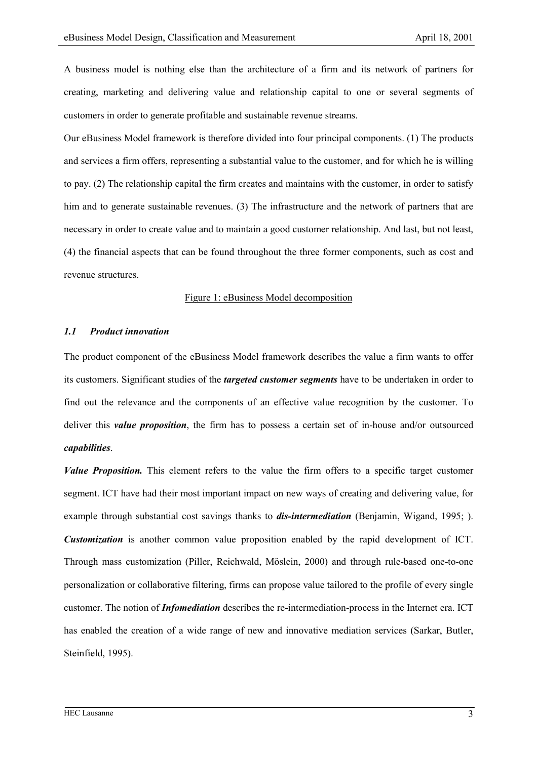A business model is nothing else than the architecture of a firm and its network of partners for creating, marketing and delivering value and relationship capital to one or several segments of customers in order to generate profitable and sustainable revenue streams.

Our eBusiness Model framework is therefore divided into four principal components. (1) The products and services a firm offers, representing a substantial value to the customer, and for which he is willing to pay. (2) The relationship capital the firm creates and maintains with the customer, in order to satisfy him and to generate sustainable revenues. (3) The infrastructure and the network of partners that are necessary in order to create value and to maintain a good customer relationship. And last, but not least, (4) the financial aspects that can be found throughout the three former components, such as cost and revenue structures.

### Figure 1: eBusiness Model decomposition

## *1.1 Product innovation*

The product component of the eBusiness Model framework describes the value a firm wants to offer its customers. Significant studies of the *targeted customer segments* have to be undertaken in order to find out the relevance and the components of an effective value recognition by the customer. To deliver this *value proposition*, the firm has to possess a certain set of in-house and/or outsourced *capabilities*.

*Value Proposition.* This element refers to the value the firm offers to a specific target customer segment. ICT have had their most important impact on new ways of creating and delivering value, for example through substantial cost savings thanks to *dis-intermediation* (Benjamin, Wigand, 1995; ). *Customization* is another common value proposition enabled by the rapid development of ICT. Through mass customization (Piller, Reichwald, Möslein, 2000) and through rule-based one-to-one personalization or collaborative filtering, firms can propose value tailored to the profile of every single customer. The notion of *Infomediation* describes the re-intermediation-process in the Internet era. ICT has enabled the creation of a wide range of new and innovative mediation services (Sarkar, Butler, Steinfield, 1995).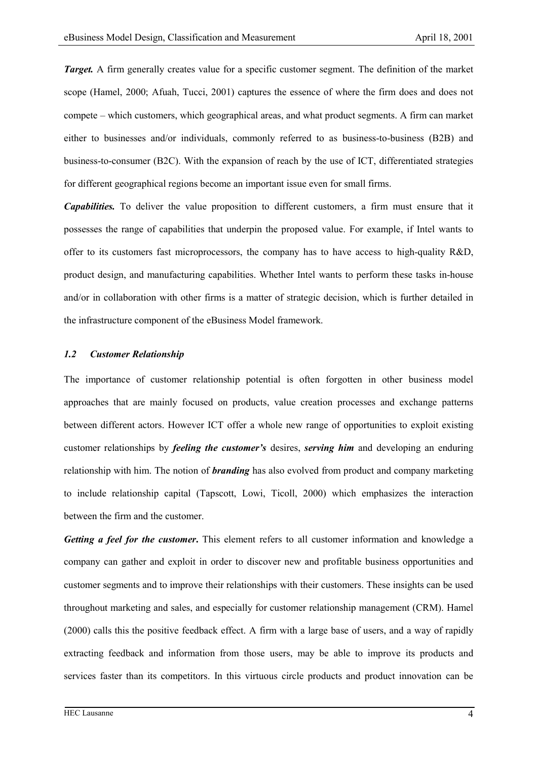*Target.* A firm generally creates value for a specific customer segment. The definition of the market scope (Hamel, 2000; Afuah, Tucci, 2001) captures the essence of where the firm does and does not compete – which customers, which geographical areas, and what product segments. A firm can market either to businesses and/or individuals, commonly referred to as business-to-business (B2B) and business-to-consumer (B2C). With the expansion of reach by the use of ICT, differentiated strategies for different geographical regions become an important issue even for small firms.

*Capabilities.* To deliver the value proposition to different customers, a firm must ensure that it possesses the range of capabilities that underpin the proposed value. For example, if Intel wants to offer to its customers fast microprocessors, the company has to have access to high-quality R&D, product design, and manufacturing capabilities. Whether Intel wants to perform these tasks in-house and/or in collaboration with other firms is a matter of strategic decision, which is further detailed in the infrastructure component of the eBusiness Model framework.

## *1.2 Customer Relationship*

The importance of customer relationship potential is often forgotten in other business model approaches that are mainly focused on products, value creation processes and exchange patterns between different actors. However ICT offer a whole new range of opportunities to exploit existing customer relationships by *feeling the customer's* desires, *serving him* and developing an enduring relationship with him. The notion of *branding* has also evolved from product and company marketing to include relationship capital (Tapscott, Lowi, Ticoll, 2000) which emphasizes the interaction between the firm and the customer.

*Getting a feel for the customer***.** This element refers to all customer information and knowledge a company can gather and exploit in order to discover new and profitable business opportunities and customer segments and to improve their relationships with their customers. These insights can be used throughout marketing and sales, and especially for customer relationship management (CRM). Hamel (2000) calls this the positive feedback effect. A firm with a large base of users, and a way of rapidly extracting feedback and information from those users, may be able to improve its products and services faster than its competitors. In this virtuous circle products and product innovation can be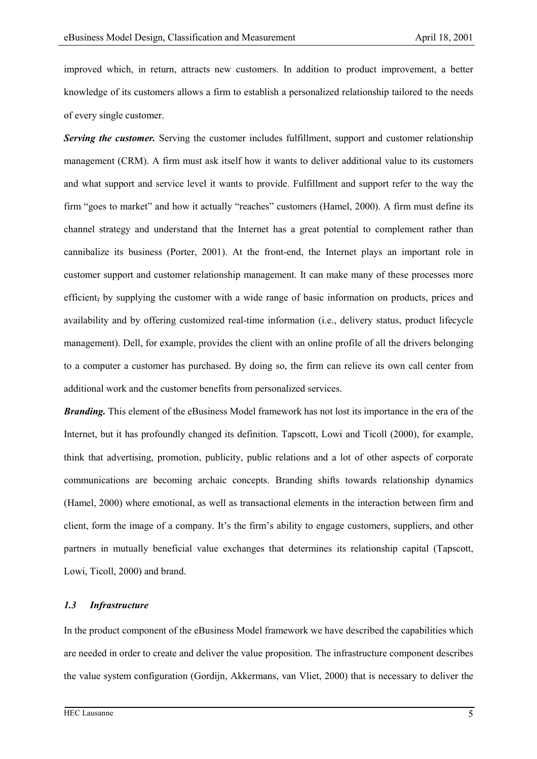improved which, in return, attracts new customers. In addition to product improvement, a better knowledge of its customers allows a firm to establish a personalized relationship tailored to the needs of every single customer.

**Serving the customer.** Serving the customer includes fulfillment, support and customer relationship management (CRM). A firm must ask itself how it wants to deliver additional value to its customers and what support and service level it wants to provide. Fulfillment and support refer to the way the firm "goes to market" and how it actually "reaches" customers (Hamel, 2000). A firm must define its channel strategy and understand that the Internet has a great potential to complement rather than cannibalize its business (Porter, 2001). At the front-end, the Internet plays an important role in customer support and customer relationship management. It can make many of these processes more efficient, by supplying the customer with a wide range of basic information on products, prices and availability and by offering customized real-time information (i.e., delivery status, product lifecycle management). Dell, for example, provides the client with an online profile of all the drivers belonging to a computer a customer has purchased. By doing so, the firm can relieve its own call center from additional work and the customer benefits from personalized services.

*Branding.* This element of the eBusiness Model framework has not lost its importance in the era of the Internet, but it has profoundly changed its definition. Tapscott, Lowi and Ticoll (2000), for example, think that advertising, promotion, publicity, public relations and a lot of other aspects of corporate communications are becoming archaic concepts. Branding shifts towards relationship dynamics (Hamel, 2000) where emotional, as well as transactional elements in the interaction between firm and client, form the image of a company. It's the firm's ability to engage customers, suppliers, and other partners in mutually beneficial value exchanges that determines its relationship capital (Tapscott, Lowi, Ticoll, 2000) and brand.

## *1.3 Infrastructure*

In the product component of the eBusiness Model framework we have described the capabilities which are needed in order to create and deliver the value proposition. The infrastructure component describes the value system configuration (Gordijn, Akkermans, van Vliet, 2000) that is necessary to deliver the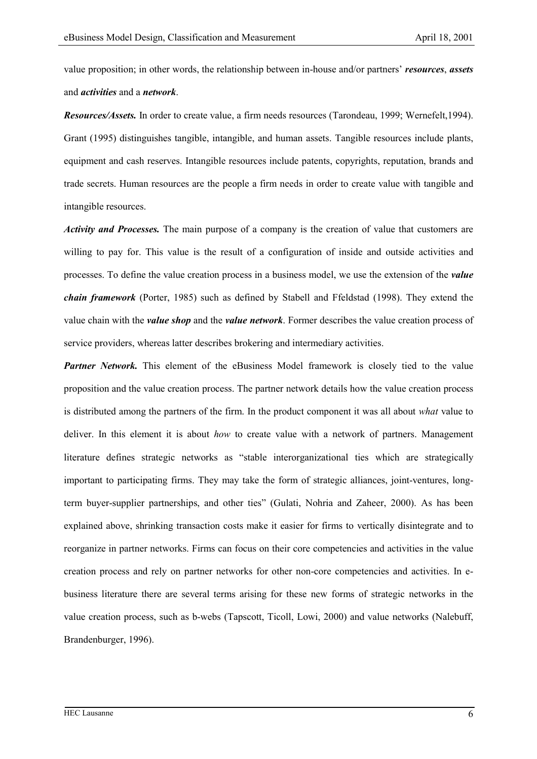value proposition; in other words, the relationship between in-house and/or partners' *resources*, *assets* and *activities* and a *network*.

*Resources/Assets.* In order to create value, a firm needs resources (Tarondeau, 1999; Wernefelt,1994). Grant (1995) distinguishes tangible, intangible, and human assets. Tangible resources include plants, equipment and cash reserves. Intangible resources include patents, copyrights, reputation, brands and trade secrets. Human resources are the people a firm needs in order to create value with tangible and intangible resources.

*Activity and Processes.* The main purpose of a company is the creation of value that customers are willing to pay for. This value is the result of a configuration of inside and outside activities and processes. To define the value creation process in a business model, we use the extension of the *value chain framework* (Porter, 1985) such as defined by Stabell and Ffeldstad (1998). They extend the value chain with the *value shop* and the *value network*. Former describes the value creation process of service providers, whereas latter describes brokering and intermediary activities.

*Partner Network.* This element of the eBusiness Model framework is closely tied to the value proposition and the value creation process. The partner network details how the value creation process is distributed among the partners of the firm. In the product component it was all about *what* value to deliver. In this element it is about *how* to create value with a network of partners. Management literature defines strategic networks as "stable interorganizational ties which are strategically important to participating firms. They may take the form of strategic alliances, joint-ventures, longterm buyer-supplier partnerships, and other ties" (Gulati, Nohria and Zaheer, 2000). As has been explained above, shrinking transaction costs make it easier for firms to vertically disintegrate and to reorganize in partner networks. Firms can focus on their core competencies and activities in the value creation process and rely on partner networks for other non-core competencies and activities. In ebusiness literature there are several terms arising for these new forms of strategic networks in the value creation process, such as b-webs (Tapscott, Ticoll, Lowi, 2000) and value networks (Nalebuff, Brandenburger, 1996).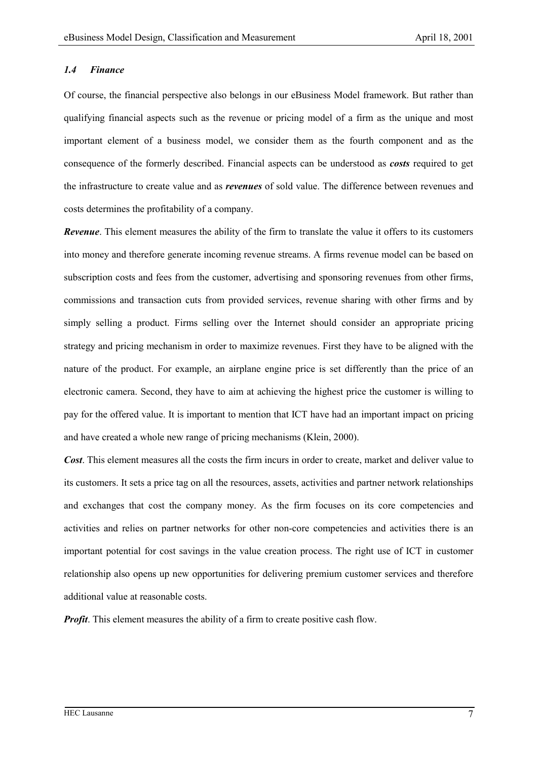## *1.4 Finance*

Of course, the financial perspective also belongs in our eBusiness Model framework. But rather than qualifying financial aspects such as the revenue or pricing model of a firm as the unique and most important element of a business model, we consider them as the fourth component and as the consequence of the formerly described. Financial aspects can be understood as *costs* required to get the infrastructure to create value and as *revenues* of sold value. The difference between revenues and costs determines the profitability of a company.

*Revenue*. This element measures the ability of the firm to translate the value it offers to its customers into money and therefore generate incoming revenue streams. A firms revenue model can be based on subscription costs and fees from the customer, advertising and sponsoring revenues from other firms, commissions and transaction cuts from provided services, revenue sharing with other firms and by simply selling a product. Firms selling over the Internet should consider an appropriate pricing strategy and pricing mechanism in order to maximize revenues. First they have to be aligned with the nature of the product. For example, an airplane engine price is set differently than the price of an electronic camera. Second, they have to aim at achieving the highest price the customer is willing to pay for the offered value. It is important to mention that ICT have had an important impact on pricing and have created a whole new range of pricing mechanisms (Klein, 2000).

*Cost*. This element measures all the costs the firm incurs in order to create, market and deliver value to its customers. It sets a price tag on all the resources, assets, activities and partner network relationships and exchanges that cost the company money. As the firm focuses on its core competencies and activities and relies on partner networks for other non-core competencies and activities there is an important potential for cost savings in the value creation process. The right use of ICT in customer relationship also opens up new opportunities for delivering premium customer services and therefore additional value at reasonable costs.

*Profit*. This element measures the ability of a firm to create positive cash flow.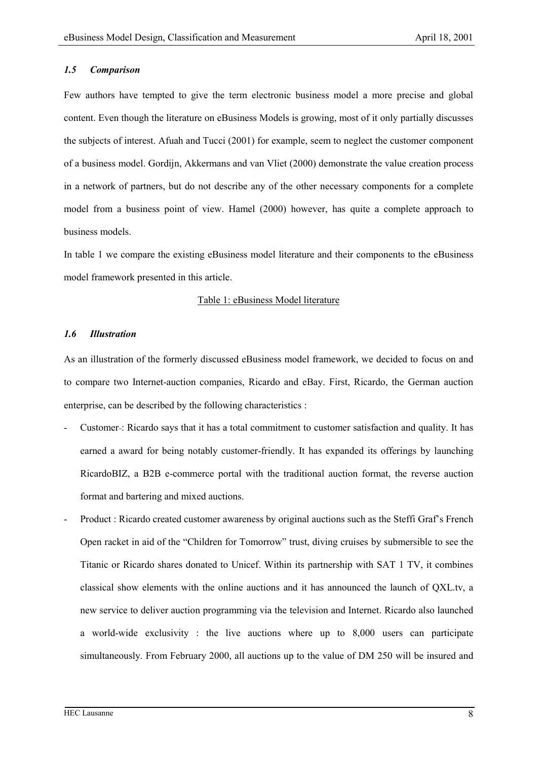# *1.5 Comparison*

Few authors have tempted to give the term electronic business model a more precise and global content. Even though the literature on eBusiness Models is growing, most of it only partially discusses the subjects of interest. Afuah and Tucci (2001) for example, seem to neglect the customer component of a business model. Gordijn, Akkermans and van Vliet (2000) demonstrate the value creation process in a network of partners, but do not describe any of the other necessary components for a complete model from a business point of view. Hamel (2000) however, has quite a complete approach to business models.

In table 1 we compare the existing eBusiness model literature and their components to the eBusiness model framework presented in this article.

# Table 1: eBusiness Model literature

#### *1.6 Illustration*

As an illustration of the formerly discussed eBusiness model framework, we decided to focus on and to compare two Internet-auction companies, Ricardo and eBay. First, Ricardo, the German auction enterprise, can be described by the following characteristics :

- Customer : Ricardo says that it has a total commitment to customer satisfaction and quality. It has earned a award for being notably customer-friendly. It has expanded its offerings by launching RicardoBIZ, a B2B e-commerce portal with the traditional auction format, the reverse auction format and bartering and mixed auctions.
- Product : Ricardo created customer awareness by original auctions such as the Steffi Graf's French Open racket in aid of the "Children for Tomorrow" trust, diving cruises by submersible to see the Titanic or Ricardo shares donated to Unicef. Within its partnership with SAT 1 TV, it combines classical show elements with the online auctions and it has announced the launch of QXL.tv, a new service to deliver auction programming via the television and Internet. Ricardo also launched a world-wide exclusivity : the live auctions where up to 8,000 users can participate simultaneously. From February 2000, all auctions up to the value of DM 250 will be insured and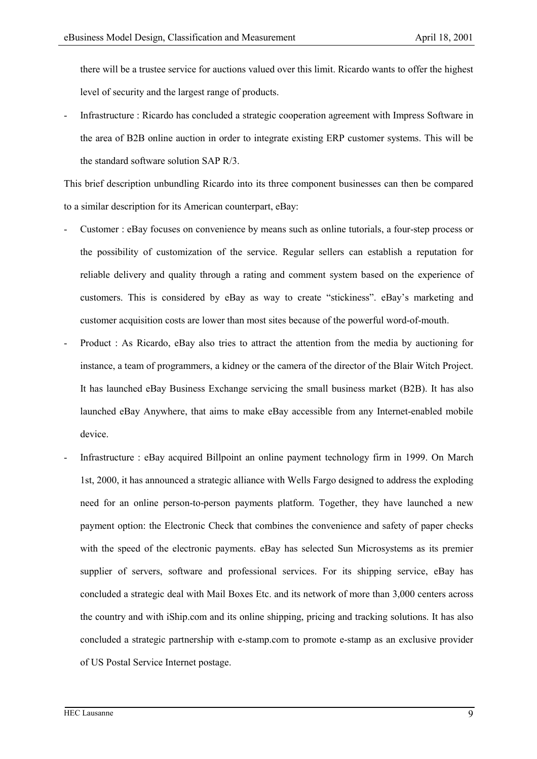there will be a trustee service for auctions valued over this limit. Ricardo wants to offer the highest level of security and the largest range of products.

- Infrastructure : Ricardo has concluded a strategic cooperation agreement with Impress Software in the area of B2B online auction in order to integrate existing ERP customer systems. This will be the standard software solution SAP R/3.

This brief description unbundling Ricardo into its three component businesses can then be compared to a similar description for its American counterpart, eBay:

- Customer : eBay focuses on convenience by means such as online tutorials, a four-step process or the possibility of customization of the service. Regular sellers can establish a reputation for reliable delivery and quality through a rating and comment system based on the experience of customers. This is considered by eBay as way to create "stickiness". eBay's marketing and customer acquisition costs are lower than most sites because of the powerful word-of-mouth.
- Product : As Ricardo, eBay also tries to attract the attention from the media by auctioning for instance, a team of programmers, a kidney or the camera of the director of the Blair Witch Project. It has launched eBay Business Exchange servicing the small business market (B2B). It has also launched eBay Anywhere, that aims to make eBay accessible from any Internet-enabled mobile device.
- Infrastructure : eBay acquired Billpoint an online payment technology firm in 1999. On March 1st, 2000, it has announced a strategic alliance with Wells Fargo designed to address the exploding need for an online person-to-person payments platform. Together, they have launched a new payment option: the Electronic Check that combines the convenience and safety of paper checks with the speed of the electronic payments. eBay has selected Sun Microsystems as its premier supplier of servers, software and professional services. For its shipping service, eBay has concluded a strategic deal with Mail Boxes Etc. and its network of more than 3,000 centers across the country and with iShip.com and its online shipping, pricing and tracking solutions. It has also concluded a strategic partnership with e-stamp.com to promote e-stamp as an exclusive provider of US Postal Service Internet postage.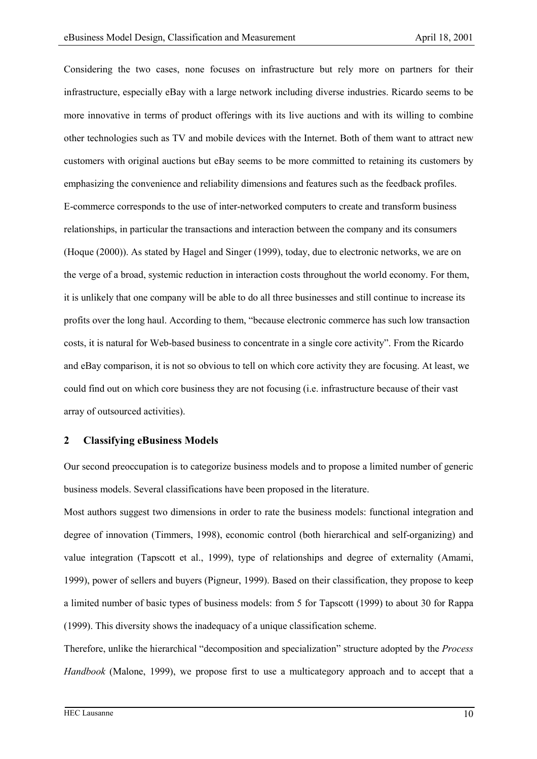Considering the two cases, none focuses on infrastructure but rely more on partners for their infrastructure, especially eBay with a large network including diverse industries. Ricardo seems to be more innovative in terms of product offerings with its live auctions and with its willing to combine other technologies such as TV and mobile devices with the Internet. Both of them want to attract new customers with original auctions but eBay seems to be more committed to retaining its customers by emphasizing the convenience and reliability dimensions and features such as the feedback profiles. E-commerce corresponds to the use of inter-networked computers to create and transform business relationships, in particular the transactions and interaction between the company and its consumers (Hoque (2000)). As stated by Hagel and Singer (1999), today, due to electronic networks, we are on the verge of a broad, systemic reduction in interaction costs throughout the world economy. For them, it is unlikely that one company will be able to do all three businesses and still continue to increase its profits over the long haul. According to them, "because electronic commerce has such low transaction costs, it is natural for Web-based business to concentrate in a single core activity". From the Ricardo and eBay comparison, it is not so obvious to tell on which core activity they are focusing. At least, we could find out on which core business they are not focusing (i.e. infrastructure because of their vast array of outsourced activities).

# **2 Classifying eBusiness Models**

Our second preoccupation is to categorize business models and to propose a limited number of generic business models. Several classifications have been proposed in the literature.

Most authors suggest two dimensions in order to rate the business models: functional integration and degree of innovation (Timmers, 1998), economic control (both hierarchical and self-organizing) and value integration (Tapscott et al., 1999), type of relationships and degree of externality (Amami, 1999), power of sellers and buyers (Pigneur, 1999). Based on their classification, they propose to keep a limited number of basic types of business models: from 5 for Tapscott (1999) to about 30 for Rappa (1999). This diversity shows the inadequacy of a unique classification scheme.

Therefore, unlike the hierarchical "decomposition and specialization" structure adopted by the *Process Handbook* (Malone, 1999), we propose first to use a multicategory approach and to accept that a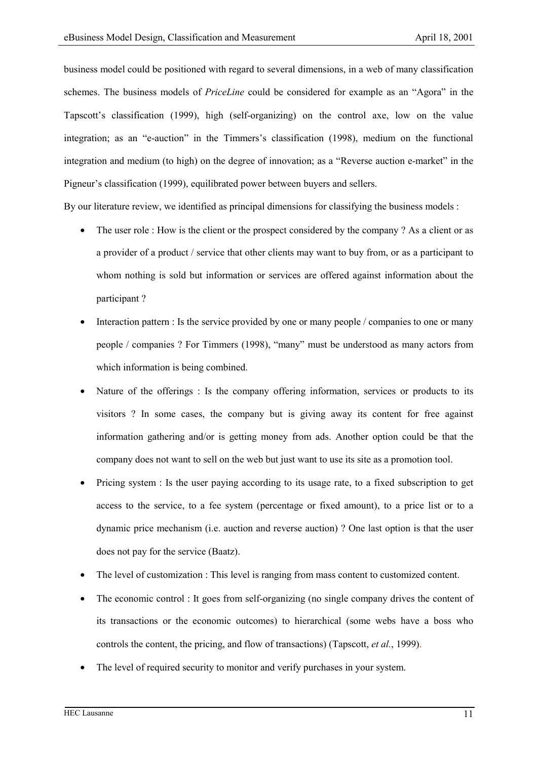business model could be positioned with regard to several dimensions, in a web of many classification schemes. The business models of *PriceLine* could be considered for example as an "Agora" in the Tapscott's classification (1999), high (self-organizing) on the control axe, low on the value integration; as an "e-auction" in the Timmers's classification (1998), medium on the functional integration and medium (to high) on the degree of innovation; as a "Reverse auction e-market" in the Pigneur's classification (1999), equilibrated power between buyers and sellers.

By our literature review, we identified as principal dimensions for classifying the business models :

- The user role : How is the client or the prospect considered by the company ? As a client or as a provider of a product / service that other clients may want to buy from, or as a participant to whom nothing is sold but information or services are offered against information about the participant ?
- Interaction pattern : Is the service provided by one or many people / companies to one or many people / companies ? For Timmers (1998), "many" must be understood as many actors from which information is being combined.
- Nature of the offerings : Is the company offering information, services or products to its visitors ? In some cases, the company but is giving away its content for free against information gathering and/or is getting money from ads. Another option could be that the company does not want to sell on the web but just want to use its site as a promotion tool.
- Pricing system : Is the user paying according to its usage rate, to a fixed subscription to get access to the service, to a fee system (percentage or fixed amount), to a price list or to a dynamic price mechanism (i.e. auction and reverse auction) ? One last option is that the user does not pay for the service (Baatz).
- The level of customization : This level is ranging from mass content to customized content.
- The economic control : It goes from self-organizing (no single company drives the content of its transactions or the economic outcomes) to hierarchical (some webs have a boss who controls the content, the pricing, and flow of transactions) (Tapscott, *et al.*, 1999).
- The level of required security to monitor and verify purchases in your system.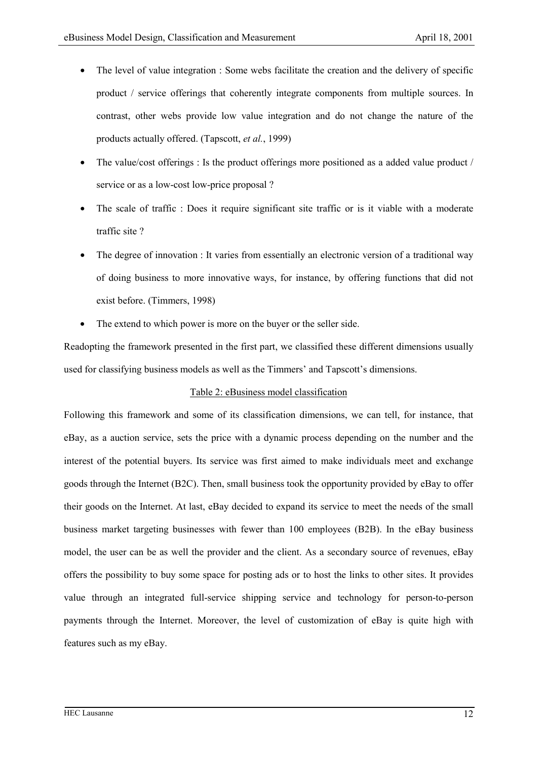- The level of value integration : Some webs facilitate the creation and the delivery of specific product / service offerings that coherently integrate components from multiple sources. In contrast, other webs provide low value integration and do not change the nature of the products actually offered. (Tapscott, *et al.*, 1999)
- The value/cost offerings : Is the product offerings more positioned as a added value product / service or as a low-cost low-price proposal ?
- The scale of traffic : Does it require significant site traffic or is it viable with a moderate traffic site ?
- The degree of innovation : It varies from essentially an electronic version of a traditional way of doing business to more innovative ways, for instance, by offering functions that did not exist before. (Timmers, 1998)
- The extend to which power is more on the buyer or the seller side.

Readopting the framework presented in the first part, we classified these different dimensions usually used for classifying business models as well as the Timmers' and Tapscott's dimensions.

# Table 2: eBusiness model classification

Following this framework and some of its classification dimensions, we can tell, for instance, that eBay, as a auction service, sets the price with a dynamic process depending on the number and the interest of the potential buyers. Its service was first aimed to make individuals meet and exchange goods through the Internet (B2C). Then, small business took the opportunity provided by eBay to offer their goods on the Internet. At last, eBay decided to expand its service to meet the needs of the small business market targeting businesses with fewer than 100 employees (B2B). In the eBay business model, the user can be as well the provider and the client. As a secondary source of revenues, eBay offers the possibility to buy some space for posting ads or to host the links to other sites. It provides value through an integrated full-service shipping service and technology for person-to-person payments through the Internet. Moreover, the level of customization of eBay is quite high with features such as my eBay.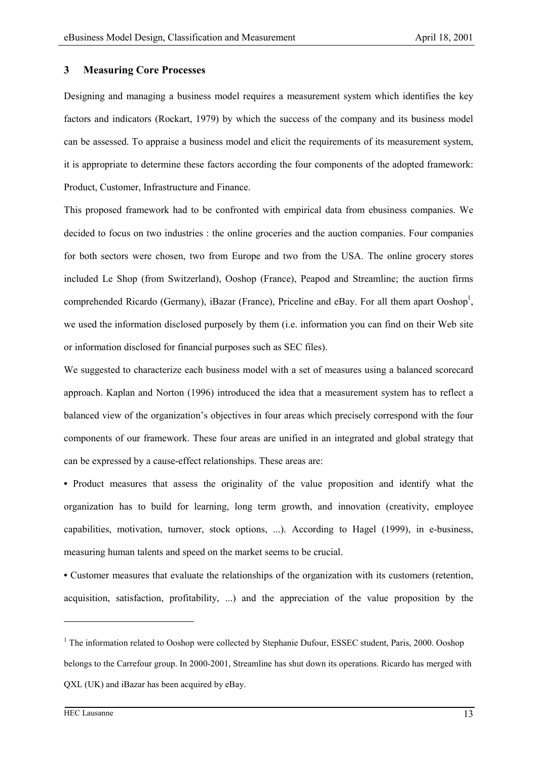#### **3 Measuring Core Processes**

Designing and managing a business model requires a measurement system which identifies the key factors and indicators (Rockart, 1979) by which the success of the company and its business model can be assessed. To appraise a business model and elicit the requirements of its measurement system, it is appropriate to determine these factors according the four components of the adopted framework: Product, Customer, Infrastructure and Finance.

This proposed framework had to be confronted with empirical data from ebusiness companies. We decided to focus on two industries : the online groceries and the auction companies. Four companies for both sectors were chosen, two from Europe and two from the USA. The online grocery stores included Le Shop (from Switzerland), Ooshop (France), Peapod and Streamline; the auction firms comprehended Ricardo (Germany), iBazar (France), Priceline and eBay. For all them apart Ooshop<sup>1</sup>, we used the information disclosed purposely by them (i.e. information you can find on their Web site or information disclosed for financial purposes such as SEC files).

We suggested to characterize each business model with a set of measures using a balanced scorecard approach. Kaplan and Norton (1996) introduced the idea that a measurement system has to reflect a balanced view of the organization's objectives in four areas which precisely correspond with the four components of our framework. These four areas are unified in an integrated and global strategy that can be expressed by a cause-effect relationships. These areas are:

**•** Product measures that assess the originality of the value proposition and identify what the organization has to build for learning, long term growth, and innovation (creativity, employee capabilities, motivation, turnover, stock options, ...). According to Hagel (1999), in e-business, measuring human talents and speed on the market seems to be crucial.

**•** Customer measures that evaluate the relationships of the organization with its customers (retention, acquisition, satisfaction, profitability, ...) and the appreciation of the value proposition by the

 $\overline{a}$ 

<sup>&</sup>lt;sup>1</sup> The information related to Ooshop were collected by Stephanie Dufour, ESSEC student, Paris, 2000. Ooshop belongs to the Carrefour group. In 2000-2001, Streamline has shut down its operations. Ricardo has merged with QXL (UK) and iBazar has been acquired by eBay.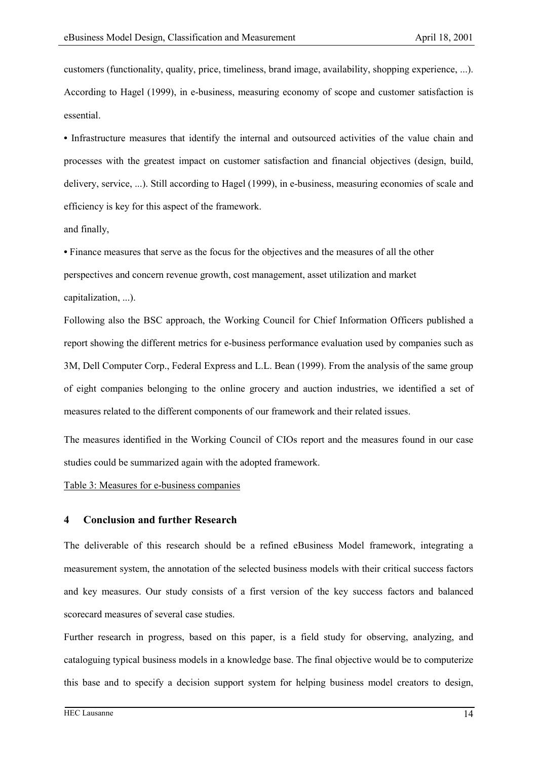customers (functionality, quality, price, timeliness, brand image, availability, shopping experience, ...). According to Hagel (1999), in e-business, measuring economy of scope and customer satisfaction is essential.

**•** Infrastructure measures that identify the internal and outsourced activities of the value chain and processes with the greatest impact on customer satisfaction and financial objectives (design, build, delivery, service, ...). Still according to Hagel (1999), in e-business, measuring economies of scale and efficiency is key for this aspect of the framework.

and finally,

**•** Finance measures that serve as the focus for the objectives and the measures of all the other perspectives and concern revenue growth, cost management, asset utilization and market capitalization, ...).

Following also the BSC approach, the Working Council for Chief Information Officers published a report showing the different metrics for e-business performance evaluation used by companies such as 3M, Dell Computer Corp., Federal Express and L.L. Bean (1999). From the analysis of the same group of eight companies belonging to the online grocery and auction industries, we identified a set of measures related to the different components of our framework and their related issues.

The measures identified in the Working Council of CIOs report and the measures found in our case studies could be summarized again with the adopted framework.

#### Table 3: Measures for e-business companies

# **4 Conclusion and further Research**

The deliverable of this research should be a refined eBusiness Model framework, integrating a measurement system, the annotation of the selected business models with their critical success factors and key measures. Our study consists of a first version of the key success factors and balanced scorecard measures of several case studies.

Further research in progress, based on this paper, is a field study for observing, analyzing, and cataloguing typical business models in a knowledge base. The final objective would be to computerize this base and to specify a decision support system for helping business model creators to design,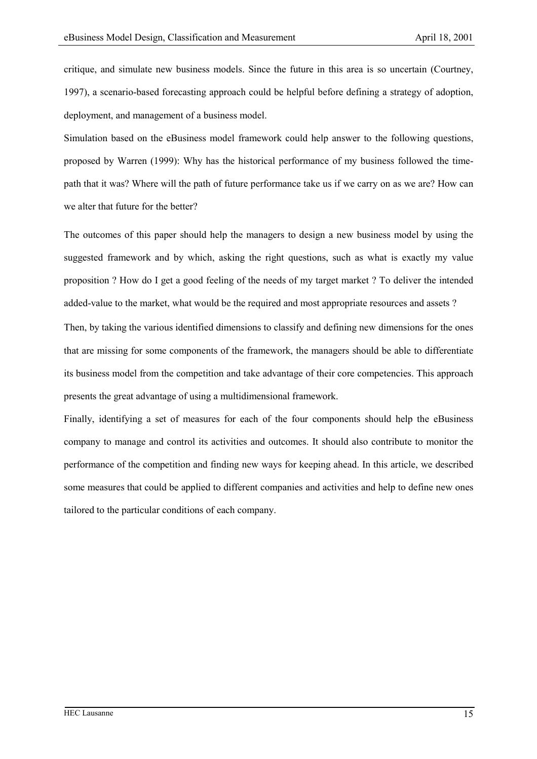critique, and simulate new business models. Since the future in this area is so uncertain (Courtney, 1997), a scenario-based forecasting approach could be helpful before defining a strategy of adoption, deployment, and management of a business model.

Simulation based on the eBusiness model framework could help answer to the following questions, proposed by Warren (1999): Why has the historical performance of my business followed the timepath that it was? Where will the path of future performance take us if we carry on as we are? How can we alter that future for the better?

The outcomes of this paper should help the managers to design a new business model by using the suggested framework and by which, asking the right questions, such as what is exactly my value proposition ? How do I get a good feeling of the needs of my target market ? To deliver the intended added-value to the market, what would be the required and most appropriate resources and assets ?

Then, by taking the various identified dimensions to classify and defining new dimensions for the ones that are missing for some components of the framework, the managers should be able to differentiate its business model from the competition and take advantage of their core competencies. This approach presents the great advantage of using a multidimensional framework.

Finally, identifying a set of measures for each of the four components should help the eBusiness company to manage and control its activities and outcomes. It should also contribute to monitor the performance of the competition and finding new ways for keeping ahead. In this article, we described some measures that could be applied to different companies and activities and help to define new ones tailored to the particular conditions of each company.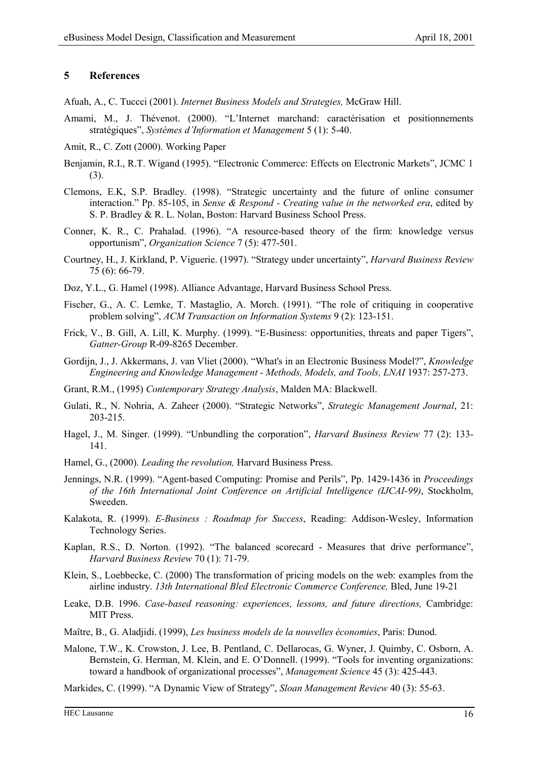# **5 References**

Afuah, A., C. Tuccci (2001). *Internet Business Models and Strategies,* McGraw Hill.

- Amami, M., J. Thévenot. (2000). "L'Internet marchand: caractérisation et positionnements stratégiques", *Systèmes d'Information et Management* 5 (1): 5-40.
- Amit, R., C. Zott (2000). Working Paper
- Benjamin, R.I., R.T. Wigand (1995). "Electronic Commerce: Effects on Electronic Markets", JCMC 1 (3).
- Clemons, E.K, S.P. Bradley. (1998). "Strategic uncertainty and the future of online consumer interaction." Pp. 85-105, in *Sense & Respond - Creating value in the networked era*, edited by S. P. Bradley & R. L. Nolan, Boston: Harvard Business School Press.
- Conner, K. R., C. Prahalad. (1996). "A resource-based theory of the firm: knowledge versus opportunism", *Organization Science* 7 (5): 477-501.
- Courtney, H., J. Kirkland, P. Viguerie. (1997). "Strategy under uncertainty", *Harvard Business Review* 75 (6): 66-79.
- Doz, Y.L., G. Hamel (1998). Alliance Advantage, Harvard Business School Press.
- Fischer, G., A. C. Lemke, T. Mastaglio, A. Morch. (1991). "The role of critiquing in cooperative problem solving", *ACM Transaction on Information Systems* 9 (2): 123-151.
- Frick, V., B. Gill, A. Lill, K. Murphy. (1999). "E-Business: opportunities, threats and paper Tigers", *Gatner-Group* R-09-8265 December.
- Gordijn, J., J. Akkermans, J. van Vliet (2000). "What's in an Electronic Business Model?", *Knowledge Engineering and Knowledge Management - Methods, Models, and Tools, LNAI* 1937: 257-273.
- Grant, R.M., (1995) *Contemporary Strategy Analysis*, Malden MA: Blackwell.
- Gulati, R., N. Nohria, A. Zaheer (2000). "Strategic Networks", *Strategic Management Journal*, 21: 203-215.
- Hagel, J., M. Singer. (1999). "Unbundling the corporation", *Harvard Business Review* 77 (2): 133- 141.
- Hamel, G., (2000). *Leading the revolution,* Harvard Business Press.
- Jennings, N.R. (1999). "Agent-based Computing: Promise and Perils", Pp. 1429-1436 in *Proceedings of the 16th International Joint Conference on Artificial Intelligence (IJCAI-99)*, Stockholm, Sweeden.
- Kalakota, R. (1999). *E-Business : Roadmap for Success*, Reading: Addison-Wesley, Information Technology Series.
- Kaplan, R.S., D. Norton. (1992). "The balanced scorecard Measures that drive performance", *Harvard Business Review* 70 (1): 71-79.
- Klein, S., Loebbecke, C. (2000) The transformation of pricing models on the web: examples from the airline industry. *13th International Bled Electronic Commerce Conference,* Bled, June 19-21
- Leake, D.B. 1996. *Case-based reasoning: experiences, lessons, and future directions,* Cambridge: MIT Press.
- Maître, B., G. Aladjidi. (1999), *Les business models de la nouvelles économies*, Paris: Dunod.
- Malone, T.W., K. Crowston, J. Lee, B. Pentland, C. Dellarocas, G. Wyner, J. Quimby, C. Osborn, A. Bernstein, G. Herman, M. Klein, and E. O'Donnell. (1999). "Tools for inventing organizations: toward a handbook of organizational processes", *Management Science* 45 (3): 425-443.

Markides, C. (1999). "A Dynamic View of Strategy", *Sloan Management Review* 40 (3): 55-63.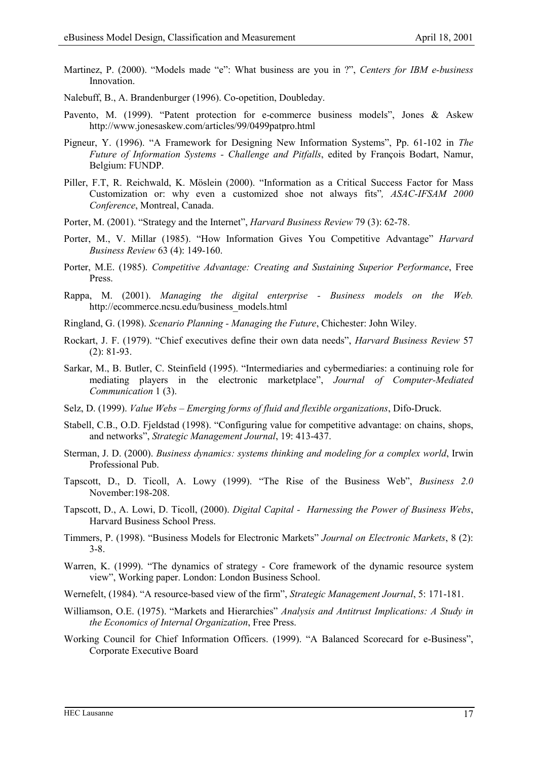- Martinez, P. (2000). "Models made "e": What business are you in ?", *Centers for IBM e-business* Innovation.
- Nalebuff, B., A. Brandenburger (1996). Co-opetition, Doubleday.
- Pavento, M. (1999). "Patent protection for e-commerce business models", Jones & Askew http://www.jonesaskew.com/articles/99/0499patpro.html
- Pigneur, Y. (1996). "A Framework for Designing New Information Systems", Pp. 61-102 in *The Future of Information Systems - Challenge and Pitfalls*, edited by François Bodart, Namur, Belgium: FUNDP.
- Piller, F.T, R. Reichwald, K. Möslein (2000). "Information as a Critical Success Factor for Mass Customization or: why even a customized shoe not always fits"*, ASAC-IFSAM 2000 Conference*, Montreal, Canada.
- Porter, M. (2001). "Strategy and the Internet", *Harvard Business Review* 79 (3): 62-78.
- Porter, M., V. Millar (1985). "How Information Gives You Competitive Advantage" *Harvard Business Review* 63 (4): 149-160.
- Porter, M.E. (1985). *Competitive Advantage: Creating and Sustaining Superior Performance*, Free Press.
- Rappa, M. (2001). *Managing the digital enterprise Business models on the Web.* http://ecommerce.ncsu.edu/business\_models.html
- Ringland, G. (1998). *Scenario Planning Managing the Future*, Chichester: John Wiley.
- Rockart, J. F. (1979). "Chief executives define their own data needs", *Harvard Business Review* 57  $(2)$ : 81-93.
- Sarkar, M., B. Butler, C. Steinfield (1995). "Intermediaries and cybermediaries: a continuing role for mediating players in the electronic marketplace", *Journal of Computer-Mediated Communication* 1 (3).
- Selz, D. (1999). *Value Webs Emerging forms of fluid and flexible organizations*, Difo-Druck.
- Stabell, C.B., O.D. Fjeldstad (1998). "Configuring value for competitive advantage: on chains, shops, and networks", *Strategic Management Journal*, 19: 413-437.
- Sterman, J. D. (2000). *Business dynamics: systems thinking and modeling for a complex world*, Irwin Professional Pub.
- Tapscott, D., D. Ticoll, A. Lowy (1999). "The Rise of the Business Web", *Business 2.0* November:198-208.
- Tapscott, D., A. Lowi, D. Ticoll, (2000). *Digital Capital Harnessing the Power of Business Webs*, Harvard Business School Press.
- Timmers, P. (1998). "Business Models for Electronic Markets" *Journal on Electronic Markets*, 8 (2): 3-8.
- Warren, K. (1999). "The dynamics of strategy Core framework of the dynamic resource system view", Working paper. London: London Business School.
- Wernefelt, (1984). "A resource-based view of the firm", *Strategic Management Journal*, 5: 171-181.
- Williamson, O.E. (1975). "Markets and Hierarchies" *Analysis and Antitrust Implications: A Study in the Economics of Internal Organization*, Free Press.
- Working Council for Chief Information Officers. (1999). "A Balanced Scorecard for e-Business", Corporate Executive Board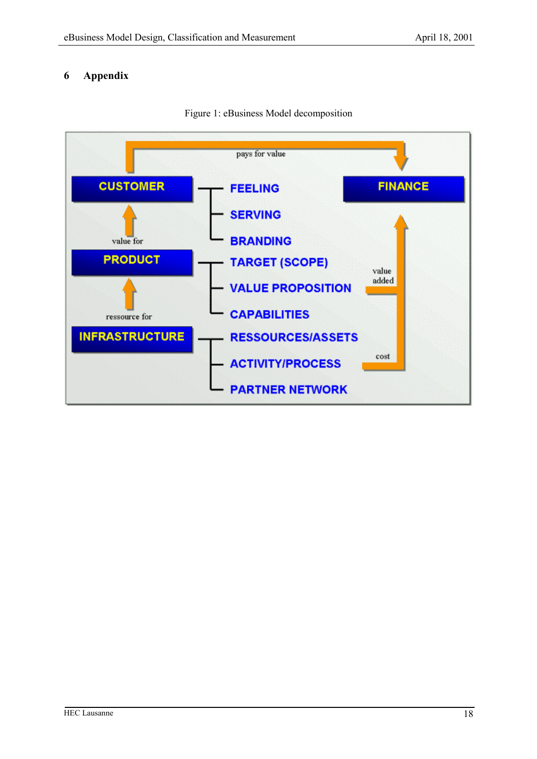# **6 Appendix**



Figure 1: eBusiness Model decomposition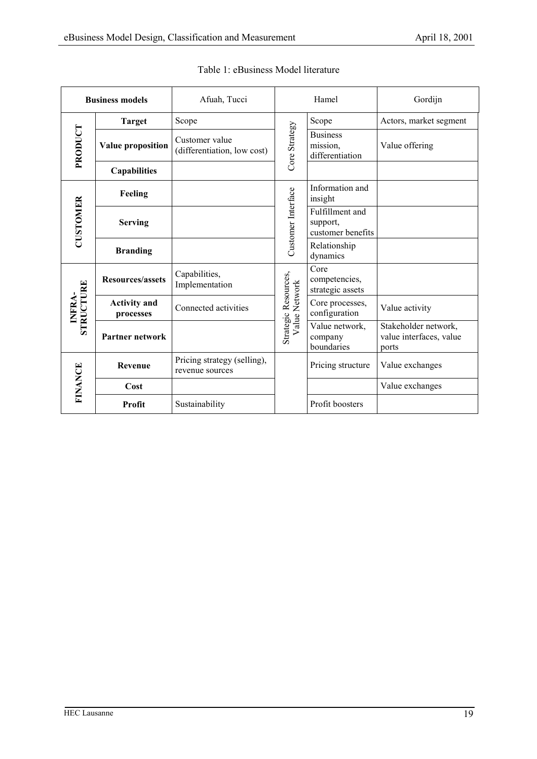| <b>Business models</b> |                                  | Afuah, Tucci                                   | Hamel                                 |                                                  | Gordijn                                                  |
|------------------------|----------------------------------|------------------------------------------------|---------------------------------------|--------------------------------------------------|----------------------------------------------------------|
|                        | <b>Target</b>                    | Scope                                          |                                       | Scope                                            | Actors, market segment                                   |
| PRODUCT                | Value proposition                | Customer value<br>(differentiation, low cost)  | Core Strategy                         | <b>Business</b><br>mission,<br>differentiation   | Value offering                                           |
|                        | <b>Capabilities</b>              |                                                |                                       |                                                  |                                                          |
|                        | Feeling                          |                                                |                                       | Information and<br>insight                       |                                                          |
| <b>CUSTOMER</b>        | <b>Serving</b>                   |                                                | Customer Interface                    | Fulfillment and<br>support,<br>customer benefits |                                                          |
|                        | <b>Branding</b>                  |                                                |                                       | Relationship<br>dynamics                         |                                                          |
| STRUCTURE<br>INFRA-    | <b>Resources/assets</b>          | Capabilities,<br>Implementation                | Strategic Resources,<br>Value Network | Core<br>competencies,<br>strategic assets        |                                                          |
|                        | <b>Activity and</b><br>processes | Connected activities                           |                                       | Core processes,<br>configuration                 | Value activity                                           |
|                        | Partner network                  |                                                |                                       | Value network,<br>company<br>boundaries          | Stakeholder network,<br>value interfaces, value<br>ports |
| <b>FINANCE</b>         | Revenue                          | Pricing strategy (selling),<br>revenue sources |                                       | Pricing structure                                | Value exchanges                                          |
|                        | Cost                             |                                                |                                       |                                                  | Value exchanges                                          |
|                        | Profit                           | Sustainability                                 |                                       | Profit boosters                                  |                                                          |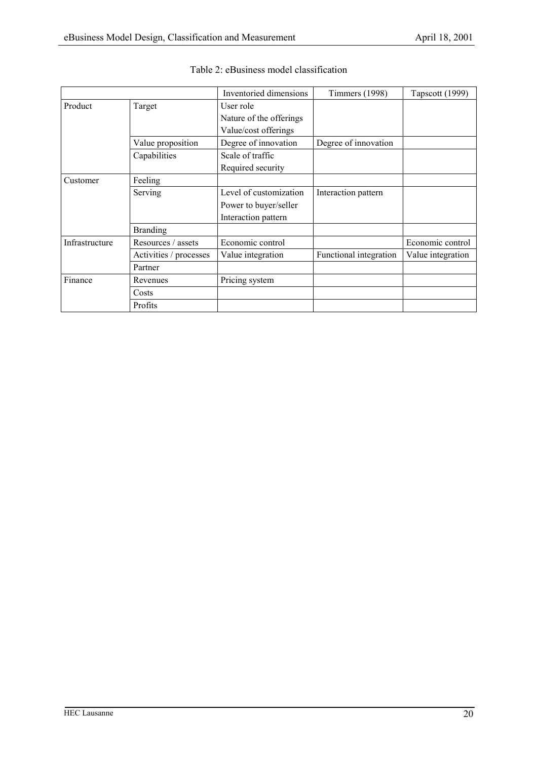|                |                        | Inventoried dimensions  | <b>Timmers</b> (1998)  | Tapscott (1999)   |
|----------------|------------------------|-------------------------|------------------------|-------------------|
| Product        | Target                 | User role               |                        |                   |
|                |                        | Nature of the offerings |                        |                   |
|                |                        | Value/cost offerings    |                        |                   |
|                | Value proposition      | Degree of innovation    | Degree of innovation   |                   |
|                | Capabilities           | Scale of traffic        |                        |                   |
|                |                        | Required security       |                        |                   |
| Customer       | Feeling                |                         |                        |                   |
|                | Serving                | Level of customization  | Interaction pattern    |                   |
|                |                        | Power to buyer/seller   |                        |                   |
|                |                        | Interaction pattern     |                        |                   |
|                | <b>Branding</b>        |                         |                        |                   |
| Infrastructure | Resources / assets     | Economic control        |                        | Economic control  |
|                | Activities / processes | Value integration       | Functional integration | Value integration |
|                | Partner                |                         |                        |                   |
| Finance        | Revenues               | Pricing system          |                        |                   |
|                | Costs                  |                         |                        |                   |
|                | Profits                |                         |                        |                   |

|  |  | Table 2: eBusiness model classification |  |  |  |
|--|--|-----------------------------------------|--|--|--|
|--|--|-----------------------------------------|--|--|--|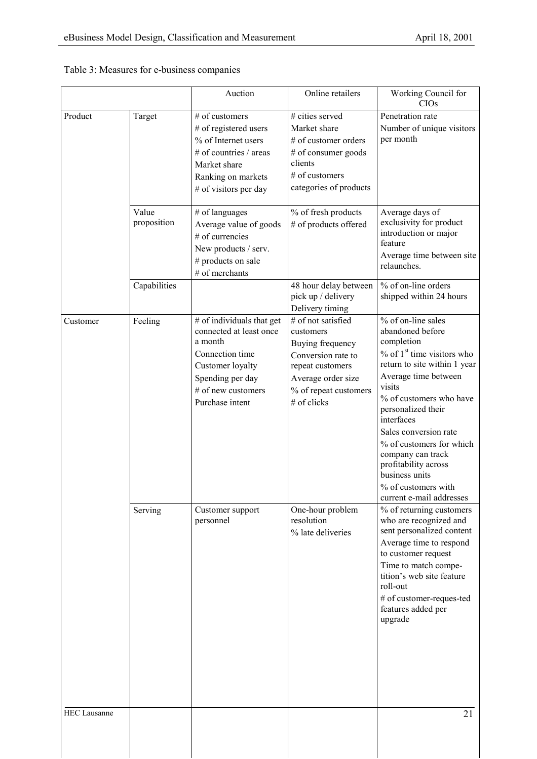|  | Table 3: Measures for e-business companies |  |
|--|--------------------------------------------|--|
|  |                                            |  |

|                     |                      | Auction                                                                                                                                                             | Online retailers                                                                                                                                            | Working Council for<br>CIOs                                                                                                                                                                                                                                                                                                                                                                               |
|---------------------|----------------------|---------------------------------------------------------------------------------------------------------------------------------------------------------------------|-------------------------------------------------------------------------------------------------------------------------------------------------------------|-----------------------------------------------------------------------------------------------------------------------------------------------------------------------------------------------------------------------------------------------------------------------------------------------------------------------------------------------------------------------------------------------------------|
| Product             | Target               | # of customers<br># of registered users<br>% of Internet users<br># of countries / areas<br>Market share<br>Ranking on markets<br># of visitors per day             | # cities served<br>Market share<br># of customer orders<br># of consumer goods<br>clients<br># of customers<br>categories of products                       | Penetration rate<br>Number of unique visitors<br>per month                                                                                                                                                                                                                                                                                                                                                |
|                     | Value<br>proposition | # of languages<br>Average value of goods<br># of currencies<br>New products / serv.<br># products on sale<br># of merchants                                         | % of fresh products<br># of products offered                                                                                                                | Average days of<br>exclusivity for product<br>introduction or major<br>feature<br>Average time between site<br>relaunches.                                                                                                                                                                                                                                                                                |
|                     | Capabilities         |                                                                                                                                                                     | 48 hour delay between<br>pick up / delivery<br>Delivery timing                                                                                              | % of on-line orders<br>shipped within 24 hours                                                                                                                                                                                                                                                                                                                                                            |
| Customer            | Feeling              | # of individuals that get<br>connected at least once<br>a month<br>Connection time<br>Customer loyalty<br>Spending per day<br># of new customers<br>Purchase intent | # of not satisfied<br>customers<br>Buying frequency<br>Conversion rate to<br>repeat customers<br>Average order size<br>% of repeat customers<br># of clicks | % of on-line sales<br>abandoned before<br>completion<br>$\%$ of 1 <sup>st</sup> time visitors who<br>return to site within 1 year<br>Average time between<br>visits<br>% of customers who have<br>personalized their<br>interfaces<br>Sales conversion rate<br>% of customers for which<br>company can track<br>profitability across<br>business units<br>% of customers with<br>current e-mail addresses |
|                     | Serving              | Customer support<br>personnel                                                                                                                                       | One-hour problem<br>resolution<br>% late deliveries                                                                                                         | % of returning customers<br>who are recognized and<br>sent personalized content<br>Average time to respond<br>to customer request<br>Time to match compe-<br>tition's web site feature<br>roll-out<br># of customer-reques-ted<br>features added per<br>upgrade                                                                                                                                           |
| <b>HEC</b> Lausanne |                      |                                                                                                                                                                     |                                                                                                                                                             | 21                                                                                                                                                                                                                                                                                                                                                                                                        |